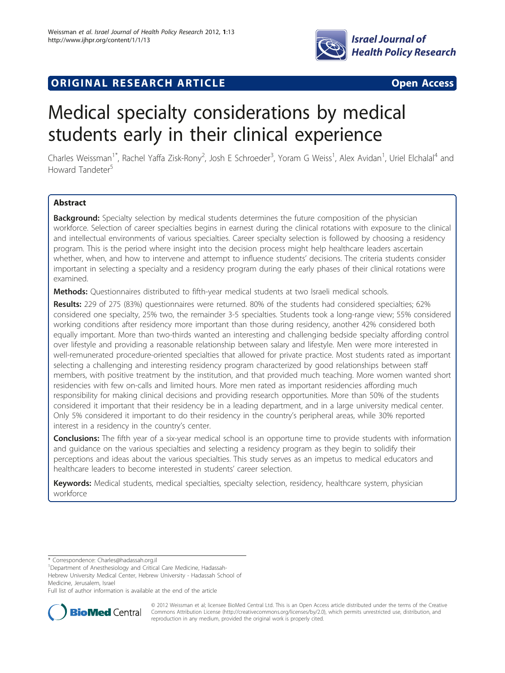

# **ORIGINAL RESEARCH ARTICLE CONSUMING ACCESS**

# Medical specialty considerations by medical students early in their clinical experience

Charles Weissman<sup>1\*</sup>, Rachel Yaffa Zisk-Rony<sup>2</sup>, Josh E Schroeder<sup>3</sup>, Yoram G Weiss<sup>1</sup>, Alex Avidan<sup>1</sup>, Uriel Elchalal<sup>4</sup> and Howard Tandeter<sup>5</sup>

# Abstract

Background: Specialty selection by medical students determines the future composition of the physician workforce. Selection of career specialties begins in earnest during the clinical rotations with exposure to the clinical and intellectual environments of various specialties. Career specialty selection is followed by choosing a residency program. This is the period where insight into the decision process might help healthcare leaders ascertain whether, when, and how to intervene and attempt to influence students' decisions. The criteria students consider important in selecting a specialty and a residency program during the early phases of their clinical rotations were examined.

Methods: Questionnaires distributed to fifth-year medical students at two Israeli medical schools.

Results: 229 of 275 (83%) questionnaires were returned. 80% of the students had considered specialties; 62% considered one specialty, 25% two, the remainder 3-5 specialties. Students took a long-range view; 55% considered working conditions after residency more important than those during residency, another 42% considered both equally important. More than two-thirds wanted an interesting and challenging bedside specialty affording control over lifestyle and providing a reasonable relationship between salary and lifestyle. Men were more interested in well-remunerated procedure-oriented specialties that allowed for private practice. Most students rated as important selecting a challenging and interesting residency program characterized by good relationships between staff members, with positive treatment by the institution, and that provided much teaching. More women wanted short residencies with few on-calls and limited hours. More men rated as important residencies affording much responsibility for making clinical decisions and providing research opportunities. More than 50% of the students considered it important that their residency be in a leading department, and in a large university medical center. Only 5% considered it important to do their residency in the country's peripheral areas, while 30% reported interest in a residency in the country's center.

Conclusions: The fifth year of a six-year medical school is an opportune time to provide students with information and guidance on the various specialties and selecting a residency program as they begin to solidify their perceptions and ideas about the various specialties. This study serves as an impetus to medical educators and healthcare leaders to become interested in students' career selection.

Keywords: Medical students, medical specialties, specialty selection, residency, healthcare system, physician workforce

\* Correspondence: [Charles@hadassah.org.il](mailto:Charles@hadassah.org.il)

<sup>1</sup>Department of Anesthesiology and Critical Care Medicine, Hadassah-

Hebrew University Medical Center, Hebrew University - Hadassah School of Medicine, Jerusalem, Israel

Full list of author information is available at the end of the article



© 2012 Weissman et al; licensee BioMed Central Ltd. This is an Open Access article distributed under the terms of the Creative Commons Attribution License [\(http://creativecommons.org/licenses/by/2.0](http://creativecommons.org/licenses/by/2.0)), which permits unrestricted use, distribution, and reproduction in any medium, provided the original work is properly cited.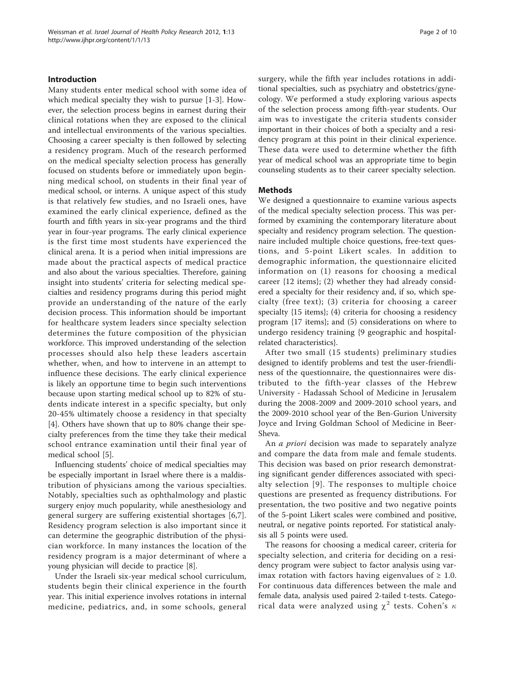## Introduction

Many students enter medical school with some idea of which medical specialty they wish to pursue [[1](#page-9-0)-[3\]](#page-9-0). However, the selection process begins in earnest during their clinical rotations when they are exposed to the clinical and intellectual environments of the various specialties. Choosing a career specialty is then followed by selecting a residency program. Much of the research performed on the medical specialty selection process has generally focused on students before or immediately upon beginning medical school, on students in their final year of medical school, or interns. A unique aspect of this study is that relatively few studies, and no Israeli ones, have examined the early clinical experience, defined as the fourth and fifth years in six-year programs and the third year in four-year programs. The early clinical experience is the first time most students have experienced the clinical arena. It is a period when initial impressions are made about the practical aspects of medical practice and also about the various specialties. Therefore, gaining insight into students' criteria for selecting medical specialties and residency programs during this period might provide an understanding of the nature of the early decision process. This information should be important for healthcare system leaders since specialty selection determines the future composition of the physician workforce. This improved understanding of the selection processes should also help these leaders ascertain whether, when, and how to intervene in an attempt to influence these decisions. The early clinical experience is likely an opportune time to begin such interventions because upon starting medical school up to 82% of students indicate interest in a specific specialty, but only 20-45% ultimately choose a residency in that specialty [[4\]](#page-9-0). Others have shown that up to 80% change their specialty preferences from the time they take their medical school entrance examination until their final year of medical school [[5\]](#page-9-0).

Influencing students' choice of medical specialties may be especially important in Israel where there is a maldistribution of physicians among the various specialties. Notably, specialties such as ophthalmology and plastic surgery enjoy much popularity, while anesthesiology and general surgery are suffering existential shortages [[6,7](#page-9-0)]. Residency program selection is also important since it can determine the geographic distribution of the physician workforce. In many instances the location of the residency program is a major determinant of where a young physician will decide to practice [[8\]](#page-9-0).

Under the Israeli six-year medical school curriculum, students begin their clinical experience in the fourth year. This initial experience involves rotations in internal medicine, pediatrics, and, in some schools, general surgery, while the fifth year includes rotations in additional specialties, such as psychiatry and obstetrics/gynecology. We performed a study exploring various aspects of the selection process among fifth-year students. Our aim was to investigate the criteria students consider important in their choices of both a specialty and a residency program at this point in their clinical experience. These data were used to determine whether the fifth year of medical school was an appropriate time to begin counseling students as to their career specialty selection.

# Methods

We designed a questionnaire to examine various aspects of the medical specialty selection process. This was performed by examining the contemporary literature about specialty and residency program selection. The questionnaire included multiple choice questions, free-text questions, and 5-point Likert scales. In addition to demographic information, the questionnaire elicited information on (1) reasons for choosing a medical career {12 items}; (2) whether they had already considered a specialty for their residency and, if so, which specialty (free text); (3) criteria for choosing a career specialty {15 items}; (4) criteria for choosing a residency program {17 items}; and (5) considerations on where to undergo residency training {9 geographic and hospitalrelated characteristics}.

After two small (15 students) preliminary studies designed to identify problems and test the user-friendliness of the questionnaire, the questionnaires were distributed to the fifth-year classes of the Hebrew University - Hadassah School of Medicine in Jerusalem during the 2008-2009 and 2009-2010 school years, and the 2009-2010 school year of the Ben-Gurion University Joyce and Irving Goldman School of Medicine in Beer-Sheva.

An *a priori* decision was made to separately analyze and compare the data from male and female students. This decision was based on prior research demonstrating significant gender differences associated with specialty selection [[9](#page-9-0)]. The responses to multiple choice questions are presented as frequency distributions. For presentation, the two positive and two negative points of the 5-point Likert scales were combined and positive, neutral, or negative points reported. For statistical analysis all 5 points were used.

The reasons for choosing a medical career, criteria for specialty selection, and criteria for deciding on a residency program were subject to factor analysis using varimax rotation with factors having eigenvalues of  $\geq 1.0$ . For continuous data differences between the male and female data, analysis used paired 2-tailed t-tests. Categorical data were analyzed using  $\chi^2$  tests. Cohen's  $\kappa$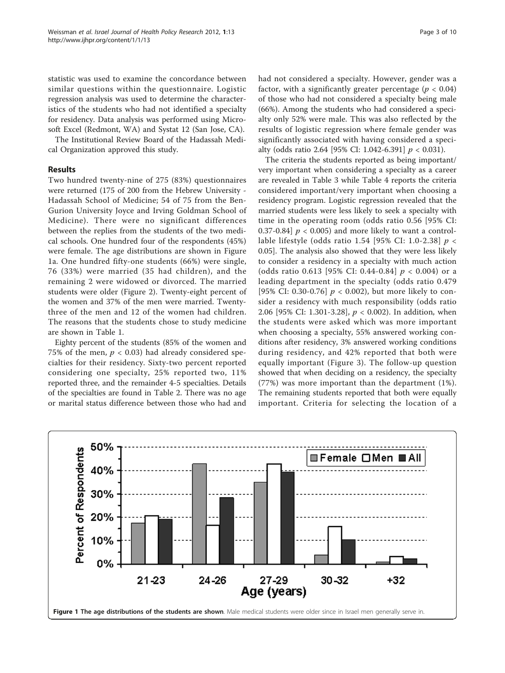statistic was used to examine the concordance between similar questions within the questionnaire. Logistic regression analysis was used to determine the characteristics of the students who had not identified a specialty for residency. Data analysis was performed using Microsoft Excel (Redmont, WA) and Systat 12 (San Jose, CA).

The Institutional Review Board of the Hadassah Medical Organization approved this study.

# Results

Two hundred twenty-nine of 275 (83%) questionnaires were returned (175 of 200 from the Hebrew University - Hadassah School of Medicine; 54 of 75 from the Ben-Gurion University Joyce and Irving Goldman School of Medicine). There were no significant differences between the replies from the students of the two medical schools. One hundred four of the respondents (45%) were female. The age distributions are shown in Figure 1a. One hundred fifty-one students (66%) were single, 76 (33%) were married (35 had children), and the remaining 2 were widowed or divorced. The married students were older (Figure [2](#page-3-0)). Twenty-eight percent of the women and 37% of the men were married. Twentythree of the men and 12 of the women had children. The reasons that the students chose to study medicine are shown in Table [1](#page-3-0).

Eighty percent of the students (85% of the women and 75% of the men,  $p < 0.03$ ) had already considered specialties for their residency. Sixty-two percent reported considering one specialty, 25% reported two, 11% reported three, and the remainder 4-5 specialties. Details of the specialties are found in Table [2.](#page-3-0) There was no age or marital status difference between those who had and had not considered a specialty. However, gender was a factor, with a significantly greater percentage ( $p < 0.04$ ) of those who had not considered a specialty being male (66%). Among the students who had considered a specialty only 52% were male. This was also reflected by the results of logistic regression where female gender was significantly associated with having considered a specialty (odds ratio 2.64 [95% CI: 1.042-6.391]  $p < 0.031$ ).

The criteria the students reported as being important/ very important when considering a specialty as a career are revealed in Table [3](#page-4-0) while Table [4](#page-4-0) reports the criteria considered important/very important when choosing a residency program. Logistic regression revealed that the married students were less likely to seek a specialty with time in the operating room (odds ratio 0.56 [95% CI: 0.37-0.84]  $p < 0.005$  and more likely to want a controllable lifestyle (odds ratio 1.54 [95% CI: 1.0-2.38]  $p \lt \sqrt{ }$ 0.05]. The analysis also showed that they were less likely to consider a residency in a specialty with much action (odds ratio 0.613 [95% CI: 0.44-0.84]  $p < 0.004$ ) or a leading department in the specialty (odds ratio 0.479 [95% CI: 0.30-0.76]  $p < 0.002$ ), but more likely to consider a residency with much responsibility (odds ratio 2.06 [95% CI: 1.301-3.28],  $p < 0.002$ ). In addition, when the students were asked which was more important when choosing a specialty, 55% answered working conditions after residency, 3% answered working conditions during residency, and 42% reported that both were equally important (Figure [3](#page-5-0)). The follow-up question showed that when deciding on a residency, the specialty (77%) was more important than the department (1%). The remaining students reported that both were equally important. Criteria for selecting the location of a

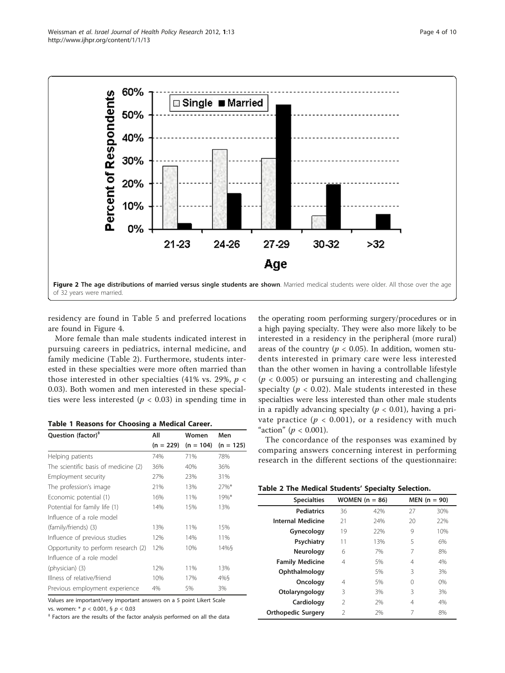<span id="page-3-0"></span>

residency are found in Table [5](#page-5-0) and preferred locations are found in Figure [4](#page-6-0).

More female than male students indicated interest in pursuing careers in pediatrics, internal medicine, and family medicine (Table 2). Furthermore, students interested in these specialties were more often married than those interested in other specialties (41% vs. 29%,  $p <$ 0.03). Both women and men interested in these specialties were less interested ( $p < 0.03$ ) in spending time in

Table 1 Reasons for Choosing a Medical Career.

| Question (factor) <sup>#</sup>       | All         | Women       | Men         |  |
|--------------------------------------|-------------|-------------|-------------|--|
|                                      | $(n = 229)$ | $(n = 104)$ | $(n = 125)$ |  |
| Helping patients                     | 74%         | 71%         | 78%         |  |
| The scientific basis of medicine (2) | 36%         | 40%         | 36%         |  |
| Employment security                  | 27%         | 23%         | 31%         |  |
| The profession's image               | 21%         | 13%         | 27%*        |  |
| Economic potential (1)               | 16%         | 11%         | 19%*        |  |
| Potential for family life (1)        | 14%         | 15%         | 13%         |  |
| Influence of a role model            |             |             |             |  |
| (family/friends) (3)                 | 13%         | 11%         | 15%         |  |
| Influence of previous studies        | 12%         | 14%         | 11%         |  |
| Opportunity to perform research (2)  | 12%         | 10%         | 14%§        |  |
| Influence of a role model            |             |             |             |  |
| (physician) (3)                      | 12%         | 11%         | 13%         |  |
| Illness of relative/friend           | 10%         | 17%         | 4%          |  |
| Previous employment experience       | 4%          | 5%          | 3%          |  |

Values are important/very important answers on a 5 point Likert Scale

vs. women: \* p < 0.001, § p < 0.03

‡ Factors are the results of the factor analysis performed on all the data

the operating room performing surgery/procedures or in a high paying specialty. They were also more likely to be interested in a residency in the peripheral (more rural) areas of the country ( $p < 0.05$ ). In addition, women students interested in primary care were less interested than the other women in having a controllable lifestyle  $(p < 0.005)$  or pursuing an interesting and challenging specialty ( $p < 0.02$ ). Male students interested in these specialties were less interested than other male students in a rapidly advancing specialty ( $p < 0.01$ ), having a private practice ( $p < 0.001$ ), or a residency with much "action" ( $p < 0.001$ ).

The concordance of the responses was examined by comparing answers concerning interest in performing research in the different sections of the questionnaire:

|  | Table 2 The Medical Students' Specialty Selection. |  |  |  |
|--|----------------------------------------------------|--|--|--|
|--|----------------------------------------------------|--|--|--|

| A THE MEGREAT SEGGENES SPECIALLY SERVICING |    |                  |    |                |  |
|--------------------------------------------|----|------------------|----|----------------|--|
| <b>Specialties</b>                         |    | WOMEN $(n = 86)$ |    | $MEN (n = 90)$ |  |
| <b>Pediatrics</b>                          | 36 | 42%              | 27 | 30%            |  |
| <b>Internal Medicine</b>                   | 21 | 24%              | 20 | 22%            |  |
| Gynecology                                 | 19 | 22%              | 9  | 10%            |  |
| Psychiatry                                 | 11 | 13%              | 5  | 6%             |  |
| <b>Neurology</b>                           | 6  | 7%               | 7  | 8%             |  |
| <b>Family Medicine</b>                     | 4  | 5%               | 4  | 4%             |  |
| Ophthalmology                              |    | 5%               | 3  | 3%             |  |
| Oncology                                   | 4  | 5%               | 0  | $0\%$          |  |
| Otolaryngology                             | 3  | 3%               | 3  | 3%             |  |
| Cardiology                                 | 2  | 7%               | 4  | 4%             |  |
| <b>Orthopedic Surgery</b>                  | 2  | 2%               | 7  | 8%             |  |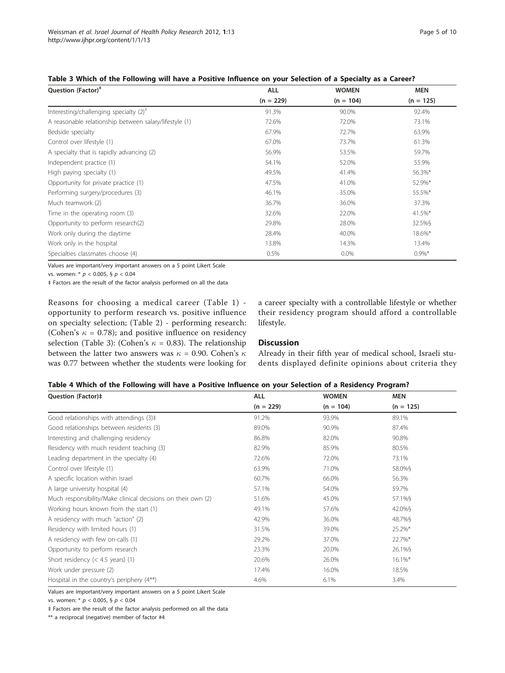<span id="page-4-0"></span>

| Table 3 Which of the Following will have a Positive Influence on your Selection of a Specialty as a Career? |  |
|-------------------------------------------------------------------------------------------------------------|--|
|-------------------------------------------------------------------------------------------------------------|--|

| Question (Factor) <sup>#</sup>                         | <b>ALL</b>  | <b>WOMEN</b> | <b>MEN</b>  |
|--------------------------------------------------------|-------------|--------------|-------------|
|                                                        | $(n = 229)$ | $(n = 104)$  | $(n = 125)$ |
| Interesting/challenging specialty (2) <sup>#</sup>     | 91.3%       | 90.0%        | 92.4%       |
| A reasonable relationship between salary/lifestyle (1) | 72.6%       | 72.0%        | 73.1%       |
| Bedside specialty                                      | 67.9%       | 72.7%        | 63.9%       |
| Control over lifestyle (1)                             | 67.0%       | 73.7%        | 61.3%       |
| A specialty that is rapidly advancing (2)              | 56.9%       | 53.5%        | 59.7%       |
| Independent practice (1)                               | 54.1%       | 52.0%        | 55.9%       |
| High paying specialty (1)                              | 49.5%       | 41.4%        | 56.3%*      |
| Opportunity for private practice (1)                   | 47.5%       | 41.0%        | 52.9%*      |
| Performing surgery/procedures (3)                      | 46.1%       | 35.0%        | 55.5%*      |
| Much teamwork (2)                                      | 36.7%       | 36.0%        | 37.3%       |
| Time in the operating room (3)                         | 32.6%       | 22.0%        | 41.5%*      |
| Opportunity to perform research(2)                     | 29.8%       | 28.0%        | 32.5%§      |
| Work only during the daytime                           | 28.4%       | 40.0%        | 18.6%*      |
| Work only in the hospital                              | 13.8%       | 14.3%        | 13.4%       |
| Specialties classmates choose (4)                      | 0.5%        | $0.0\%$      | $0.9\%$ *   |

Values are important/very important answers on a 5 point Likert Scale

vs. women: \* p < 0.005, § p < 0.04

‡ Factors are the result of the factor analysis performed on all the data

Reasons for choosing a medical career (Table [1\)](#page-3-0) opportunity to perform research vs. positive influence on specialty selection; (Table [2\)](#page-3-0) - performing research: (Cohen's  $\kappa$  = 0.78); and positive influence on residency selection (Table 3): (Cohen's  $\kappa = 0.83$ ). The relationship between the latter two answers was  $\kappa$  = 0.90. Cohen's  $\kappa$ was 0.77 between whether the students were looking for a career specialty with a controllable lifestyle or whether their residency program should afford a controllable lifestyle.

# Discussion

Already in their fifth year of medical school, Israeli students displayed definite opinions about criteria they

| ?Table 4 Which of the Following will have a Positive Influence on your Selection of a Residency Program |  |  |
|---------------------------------------------------------------------------------------------------------|--|--|
|---------------------------------------------------------------------------------------------------------|--|--|

| Question (Factor)‡                                           | <b>ALL</b>  | <b>WOMEN</b> | <b>MEN</b>  |
|--------------------------------------------------------------|-------------|--------------|-------------|
|                                                              | $(n = 229)$ | $(n = 104)$  | $(n = 125)$ |
| Good relationships with attendings (3)‡                      | 91.2%       | 93.9%        | 89.1%       |
| Good relationships between residents (3)                     | 89.0%       | 90.9%        | 87.4%       |
| Interesting and challenging residency                        | 86.8%       | 82.0%        | 90.8%       |
| Residency with much resident teaching (3)                    | 82.9%       | 85.9%        | 80.5%       |
| Leading department in the specialty (4)                      | 72.6%       | 72.0%        | 73.1%       |
| Control over lifestyle (1)                                   | 63.9%       | 71.0%        | 58.0%§      |
| A specific location within Israel                            | 60.7%       | 66.0%        | 56.3%       |
| A large university hospital (4)                              | 57.1%       | 54.0%        | 59.7%       |
| Much responsibility/Make clinical decisions on their own (2) | 51.6%       | 45.0%        | 57.1%§      |
| Working hours known from the start (1)                       | 49.1%       | 57.6%        | 42.0%§      |
| A residency with much "action" (2)                           | 42.9%       | 36.0%        | 48.7%§      |
| Residency with limited hours (1)                             | 31.5%       | 39.0%        | 25.2%*      |
| A residency with few on-calls (1)                            | 29.2%       | 37.0%        | 22.7%*      |
| Opportunity to perform research                              | 23.3%       | 20.0%        | 26.1%§      |
| Short residency $(< 4.5$ years) (1)                          | 20.6%       | 26.0%        | 16.1%*      |
| Work under pressure (2)                                      | 17.4%       | 16.0%        | 18.5%       |
| Hospital in the country's periphery (4**)                    | 4.6%        | 6.1%         | 3.4%        |

Values are important/very important answers on a 5 point Likert Scale

vs. women: \* p < 0.005, § p < 0.04

‡ Factors are the result of the factor analysis performed on all the data

\*\* a reciprocal (negative) member of factor #4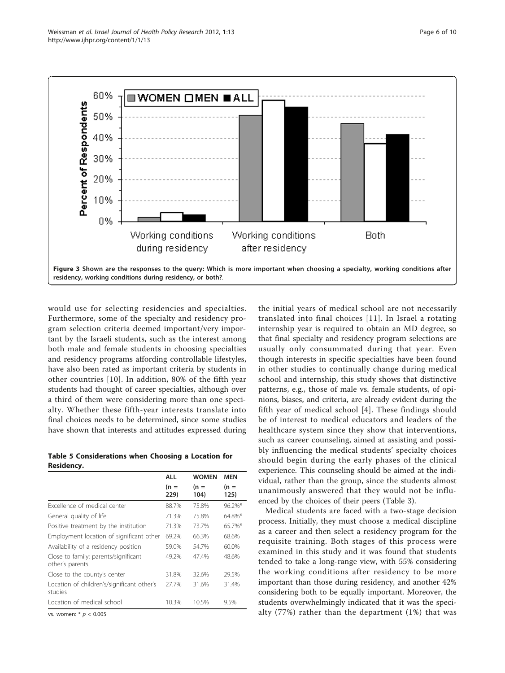<span id="page-5-0"></span>

would use for selecting residencies and specialties. Furthermore, some of the specialty and residency program selection criteria deemed important/very important by the Israeli students, such as the interest among both male and female students in choosing specialties and residency programs affording controllable lifestyles, have also been rated as important criteria by students in other countries [\[10](#page-9-0)]. In addition, 80% of the fifth year students had thought of career specialties, although over a third of them were considering more than one specialty. Whether these fifth-year interests translate into final choices needs to be determined, since some studies have shown that interests and attitudes expressed during

|            | Table 5 Considerations when Choosing a Location for |  |  |
|------------|-----------------------------------------------------|--|--|
| Residency. |                                                     |  |  |

|                                                         | <b>ALL</b>     | <b>WOMEN</b>   | <b>MEN</b>     |
|---------------------------------------------------------|----------------|----------------|----------------|
|                                                         | $(n =$<br>229) | $(n =$<br>104) | $(n =$<br>125) |
| Excellence of medical center                            | 88.7%          | 75.8%          | $96.2\%$ *     |
| General quality of life                                 | 71.3%          | 75.8%          | $64.8\%$ *     |
| Positive treatment by the institution                   | 71.3%          | 73.7%          | $65.7\%$ *     |
| Employment location of significant other                | 69.2%          | 66.3%          | 68.6%          |
| Availability of a residency position                    | 59.0%          | 54.7%          | 60.0%          |
| Close to family: parents/significant<br>other's parents | 49.2%          | 47.4%          | 48.6%          |
| Close to the county's center                            | 31.8%          | 32.6%          | 29.5%          |
| Location of children's/significant other's<br>studies   | 27.7%          | 31.6%          | 31.4%          |
| Location of medical school                              | 10.3%          | 10.5%          | 9.5%           |

vs. women: \* p < 0.005

the initial years of medical school are not necessarily translated into final choices [[11\]](#page-9-0). In Israel a rotating internship year is required to obtain an MD degree, so that final specialty and residency program selections are usually only consummated during that year. Even though interests in specific specialties have been found in other studies to continually change during medical school and internship, this study shows that distinctive patterns, e.g., those of male vs. female students, of opinions, biases, and criteria, are already evident during the fifth year of medical school [[4\]](#page-9-0). These findings should be of interest to medical educators and leaders of the healthcare system since they show that interventions, such as career counseling, aimed at assisting and possibly influencing the medical students' specialty choices should begin during the early phases of the clinical experience. This counseling should be aimed at the individual, rather than the group, since the students almost unanimously answered that they would not be influenced by the choices of their peers (Table [3\)](#page-4-0).

Medical students are faced with a two-stage decision process. Initially, they must choose a medical discipline as a career and then select a residency program for the requisite training. Both stages of this process were examined in this study and it was found that students tended to take a long-range view, with 55% considering the working conditions after residency to be more important than those during residency, and another 42% considering both to be equally important. Moreover, the students overwhelmingly indicated that it was the specialty (77%) rather than the department (1%) that was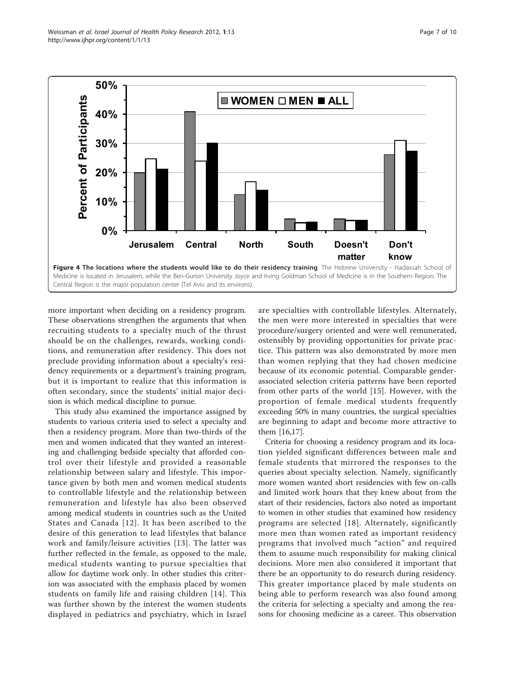<span id="page-6-0"></span>

more important when deciding on a residency program. These observations strengthen the arguments that when recruiting students to a specialty much of the thrust should be on the challenges, rewards, working conditions, and remuneration after residency. This does not preclude providing information about a specialty's residency requirements or a department's training program, but it is important to realize that this information is often secondary, since the students' initial major decision is which medical discipline to pursue.

This study also examined the importance assigned by students to various criteria used to select a specialty and then a residency program. More than two-thirds of the men and women indicated that they wanted an interesting and challenging bedside specialty that afforded control over their lifestyle and provided a reasonable relationship between salary and lifestyle. This importance given by both men and women medical students to controllable lifestyle and the relationship between remuneration and lifestyle has also been observed among medical students in countries such as the United States and Canada [[12](#page-9-0)]. It has been ascribed to the desire of this generation to lead lifestyles that balance work and family/leisure activities [\[13\]](#page-9-0). The latter was further reflected in the female, as opposed to the male, medical students wanting to pursue specialties that allow for daytime work only. In other studies this criterion was associated with the emphasis placed by women students on family life and raising children [[14](#page-9-0)]. This was further shown by the interest the women students displayed in pediatrics and psychiatry, which in Israel are specialties with controllable lifestyles. Alternately, the men were more interested in specialties that were procedure/surgery oriented and were well remunerated, ostensibly by providing opportunities for private practice. This pattern was also demonstrated by more men than women replying that they had chosen medicine because of its economic potential. Comparable genderassociated selection criteria patterns have been reported from other parts of the world [[15](#page-9-0)]. However, with the proportion of female medical students frequently exceeding 50% in many countries, the surgical specialties are beginning to adapt and become more attractive to them [\[16,17\]](#page-9-0).

Criteria for choosing a residency program and its location yielded significant differences between male and female students that mirrored the responses to the queries about specialty selection. Namely, significantly more women wanted short residencies with few on-calls and limited work hours that they knew about from the start of their residencies, factors also noted as important to women in other studies that examined how residency programs are selected [[18](#page-9-0)]. Alternately, significantly more men than women rated as important residency programs that involved much "action" and required them to assume much responsibility for making clinical decisions. More men also considered it important that there be an opportunity to do research during residency. This greater importance placed by male students on being able to perform research was also found among the criteria for selecting a specialty and among the reasons for choosing medicine as a career. This observation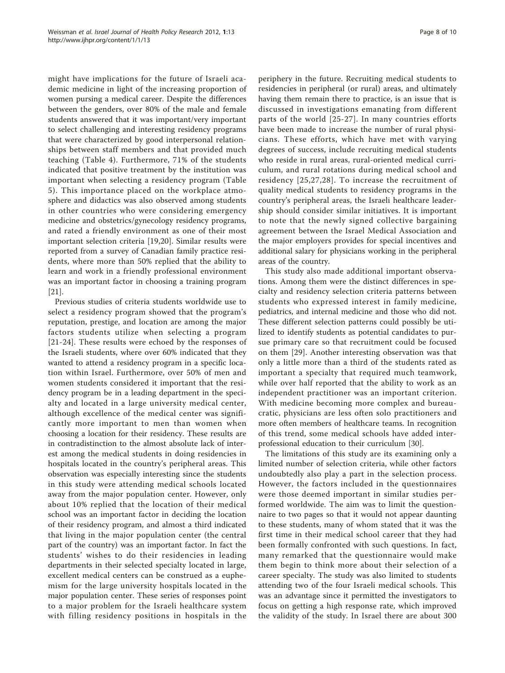might have implications for the future of Israeli academic medicine in light of the increasing proportion of women pursing a medical career. Despite the differences between the genders, over 80% of the male and female students answered that it was important/very important to select challenging and interesting residency programs that were characterized by good interpersonal relationships between staff members and that provided much teaching (Table [4](#page-4-0)). Furthermore, 71% of the students indicated that positive treatment by the institution was important when selecting a residency program (Table [5](#page-5-0)). This importance placed on the workplace atmosphere and didactics was also observed among students in other countries who were considering emergency medicine and obstetrics/gynecology residency programs, and rated a friendly environment as one of their most important selection criteria [[19,20](#page-9-0)]. Similar results were reported from a survey of Canadian family practice residents, where more than 50% replied that the ability to learn and work in a friendly professional environment was an important factor in choosing a training program [[21\]](#page-9-0).

Previous studies of criteria students worldwide use to select a residency program showed that the program's reputation, prestige, and location are among the major factors students utilize when selecting a program [[21](#page-9-0)-[24\]](#page-9-0). These results were echoed by the responses of the Israeli students, where over 60% indicated that they wanted to attend a residency program in a specific location within Israel. Furthermore, over 50% of men and women students considered it important that the residency program be in a leading department in the specialty and located in a large university medical center, although excellence of the medical center was significantly more important to men than women when choosing a location for their residency. These results are in contradistinction to the almost absolute lack of interest among the medical students in doing residencies in hospitals located in the country's peripheral areas. This observation was especially interesting since the students in this study were attending medical schools located away from the major population center. However, only about 10% replied that the location of their medical school was an important factor in deciding the location of their residency program, and almost a third indicated that living in the major population center (the central part of the country) was an important factor. In fact the students' wishes to do their residencies in leading departments in their selected specialty located in large, excellent medical centers can be construed as a euphemism for the large university hospitals located in the major population center. These series of responses point to a major problem for the Israeli healthcare system with filling residency positions in hospitals in the periphery in the future. Recruiting medical students to residencies in peripheral (or rural) areas, and ultimately having them remain there to practice, is an issue that is discussed in investigations emanating from different parts of the world [[25](#page-9-0)-[27\]](#page-9-0). In many countries efforts have been made to increase the number of rural physicians. These efforts, which have met with varying degrees of success, include recruiting medical students who reside in rural areas, rural-oriented medical curriculum, and rural rotations during medical school and residency [[25](#page-9-0),[27](#page-9-0),[28\]](#page-9-0). To increase the recruitment of quality medical students to residency programs in the country's peripheral areas, the Israeli healthcare leadership should consider similar initiatives. It is important to note that the newly signed collective bargaining agreement between the Israel Medical Association and the major employers provides for special incentives and additional salary for physicians working in the peripheral areas of the country.

This study also made additional important observations. Among them were the distinct differences in specialty and residency selection criteria patterns between students who expressed interest in family medicine, pediatrics, and internal medicine and those who did not. These different selection patterns could possibly be utilized to identify students as potential candidates to pursue primary care so that recruitment could be focused on them [[29](#page-9-0)]. Another interesting observation was that only a little more than a third of the students rated as important a specialty that required much teamwork, while over half reported that the ability to work as an independent practitioner was an important criterion. With medicine becoming more complex and bureaucratic, physicians are less often solo practitioners and more often members of healthcare teams. In recognition of this trend, some medical schools have added interprofessional education to their curriculum [[30\]](#page-9-0).

The limitations of this study are its examining only a limited number of selection criteria, while other factors undoubtedly also play a part in the selection process. However, the factors included in the questionnaires were those deemed important in similar studies performed worldwide. The aim was to limit the questionnaire to two pages so that it would not appear daunting to these students, many of whom stated that it was the first time in their medical school career that they had been formally confronted with such questions. In fact, many remarked that the questionnaire would make them begin to think more about their selection of a career specialty. The study was also limited to students attending two of the four Israeli medical schools. This was an advantage since it permitted the investigators to focus on getting a high response rate, which improved the validity of the study. In Israel there are about 300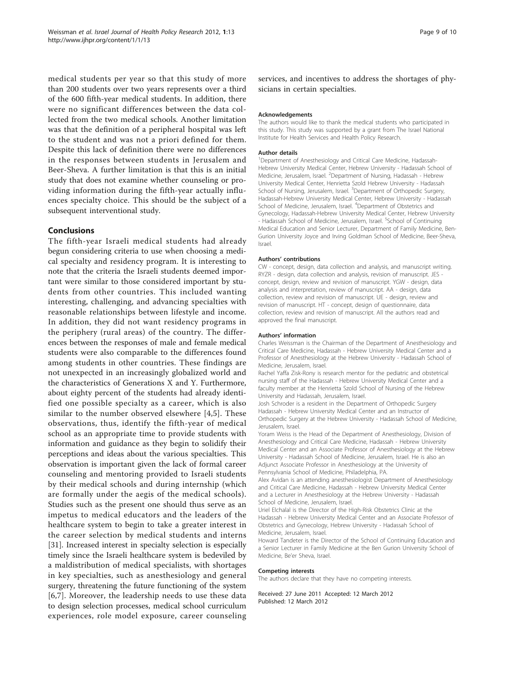medical students per year so that this study of more than 200 students over two years represents over a third of the 600 fifth-year medical students. In addition, there were no significant differences between the data collected from the two medical schools. Another limitation was that the definition of a peripheral hospital was left to the student and was not a priori defined for them. Despite this lack of definition there were no differences in the responses between students in Jerusalem and Beer-Sheva. A further limitation is that this is an initial study that does not examine whether counseling or providing information during the fifth-year actually influences specialty choice. This should be the subject of a subsequent interventional study.

# Conclusions

The fifth-year Israeli medical students had already begun considering criteria to use when choosing a medical specialty and residency program. It is interesting to note that the criteria the Israeli students deemed important were similar to those considered important by students from other countries. This included wanting interesting, challenging, and advancing specialties with reasonable relationships between lifestyle and income. In addition, they did not want residency programs in the periphery (rural areas) of the country. The differences between the responses of male and female medical students were also comparable to the differences found among students in other countries. These findings are not unexpected in an increasingly globalized world and the characteristics of Generations X and Y. Furthermore, about eighty percent of the students had already identified one possible specialty as a career, which is also similar to the number observed elsewhere [[4,5](#page-9-0)]. These observations, thus, identify the fifth-year of medical school as an appropriate time to provide students with information and guidance as they begin to solidify their perceptions and ideas about the various specialties. This observation is important given the lack of formal career counseling and mentoring provided to Israeli students by their medical schools and during internship (which are formally under the aegis of the medical schools). Studies such as the present one should thus serve as an impetus to medical educators and the leaders of the healthcare system to begin to take a greater interest in the career selection by medical students and interns [[31\]](#page-9-0). Increased interest in specialty selection is especially timely since the Israeli healthcare system is bedeviled by a maldistribution of medical specialists, with shortages in key specialties, such as anesthesiology and general surgery, threatening the future functioning of the system [[6,7](#page-9-0)]. Moreover, the leadership needs to use these data to design selection processes, medical school curriculum experiences, role model exposure, career counseling

services, and incentives to address the shortages of physicians in certain specialties.

#### Acknowledgements

The authors would like to thank the medical students who participated in this study. This study was supported by a grant from The Israel National Institute for Health Services and Health Policy Research.

#### Author details

<sup>1</sup>Department of Anesthesiology and Critical Care Medicine, Hadassah-Hebrew University Medical Center, Hebrew University - Hadassah School of Medicine, Jerusalem, Israel. <sup>2</sup>Department of Nursing, Hadassah - Hebrew University Medical Center, Henrietta Szold Hebrew University - Hadassah School of Nursing, Jerusalem, Israel. <sup>3</sup>Department of Orthopedic Surgery, Hadassah-Hebrew University Medical Center, Hebrew University - Hadassah School of Medicine, Jerusalem, Israel. <sup>4</sup>Department of Obstetrics and Gynecology, Hadassah-Hebrew University Medical Center, Hebrew University - Hadassah School of Medicine, Jerusalem, Israel. <sup>5</sup>School of Continuing Medical Education and Senior Lecturer, Department of Family Medicine, Ben-Gurion University Joyce and Irving Goldman School of Medicine, Beer-Sheva, Israel.

#### Authors' contributions

CW - concept, design, data collection and analysis, and manuscript writing. RYZR - design, data collection and analysis, revision of manuscript. JES concept, design, review and revision of manuscript. YGW - design, data analysis and interpretation, review of manuscript. AA - design, data collection, review and revision of manuscript. UE - design, review and revision of manuscript. HT - concept, design of questionnaire, data collection, review and revision of manuscript. All the authors read and approved the final manuscript.

#### Authors' information

Charles Weissman is the Chairman of the Department of Anesthesiology and Critical Care Medicine, Hadassah - Hebrew University Medical Center and a Professor of Anesthesiology at the Hebrew University - Hadassah School of Medicine, Jerusalem, Israel.

Rachel Yaffa Zisk-Rony is research mentor for the pediatric and obstetrical nursing staff of the Hadassah - Hebrew University Medical Center and a faculty member at the Henrietta Szold School of Nursing of the Hebrew University and Hadassah, Jerusalem, Israel.

Josh Schroder is a resident in the Department of Orthopedic Surgery Hadassah - Hebrew University Medical Center and an Instructor of Orthopedic Surgery at the Hebrew University - Hadassah School of Medicine, Jerusalem, Israel.

Yoram Weiss is the Head of the Department of Anesthesiology, Division of Anesthesiology and Critical Care Medicine, Hadassah - Hebrew University Medical Center and an Associate Professor of Anesthesiology at the Hebrew University - Hadassah School of Medicine, Jerusalem, Israel. He is also an Adjunct Associate Professor in Anesthesiology at the University of Pennsylvania School of Medicine, Philadelphia, PA.

Alex Avidan is an attending anesthesiologist Department of Anesthesiology and Critical Care Medicine, Hadassah - Hebrew University Medical Center and a Lecturer in Anesthesiology at the Hebrew University - Hadassah School of Medicine, Jerusalem, Israel.

Uriel Elchalal is the Director of the High-Risk Obstetrics Clinic at the Hadassah - Hebrew University Medical Center and an Associate Professor of Obstetrics and Gynecology, Hebrew University - Hadassah School of Medicine, Jerusalem, Israel.

Howard Tandeter is the Director of the School of Continuing Education and a Senior Lecturer in Family Medicine at the Ben Gurion University School of Medicine, Be'er Sheva, Israel.

#### Competing interests

The authors declare that they have no competing interests.

Received: 27 June 2011 Accepted: 12 March 2012 Published: 12 March 2012